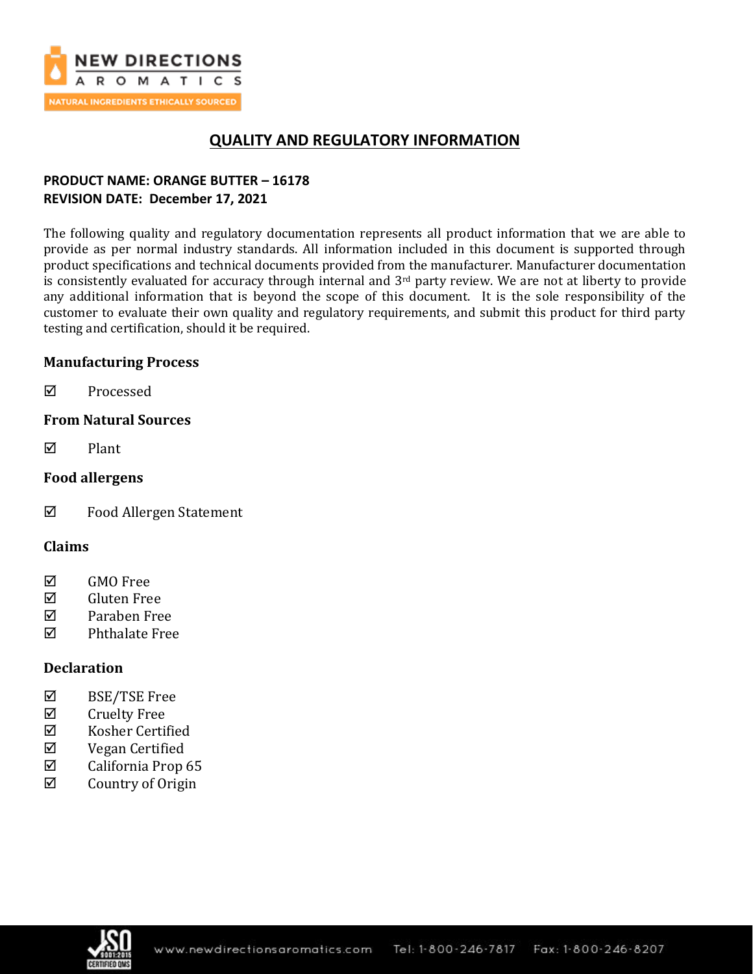

# **QUALITY AND REGULATORY INFORMATION**

## **PRODUCT NAME: ORANGE BUTTER – 16178 REVISION DATE: December 17, 2021**

The following quality and regulatory documentation represents all product information that we are able to provide as per normal industry standards. All information included in this document is supported through product specifications and technical documents provided from the manufacturer. Manufacturer documentation is consistently evaluated for accuracy through internal and 3<sup>rd</sup> party review. We are not at liberty to provide any additional information that is beyond the scope of this document. It is the sole responsibility of the customer to evaluate their own quality and regulatory requirements, and submit this product for third party testing and certification, should it be required.

## **Manufacturing Process**

**☑** Processed

## **From Natural Sources**

 $\nabla$  Plant

## **Food allergens**

Food Allergen Statement

## **Claims**

- **☑** GMO Free
- Gluten Free
- Paraben Free
- $\nabla$  Phthalate Free

## **Declaration**

- BSE/TSE Free
- $\boxtimes$  Cruelty Free
- $\boxtimes$  Kosher Certified
- Vegan Certified
- $\boxtimes$  California Prop 65
- $\boxtimes$  Country of Origin

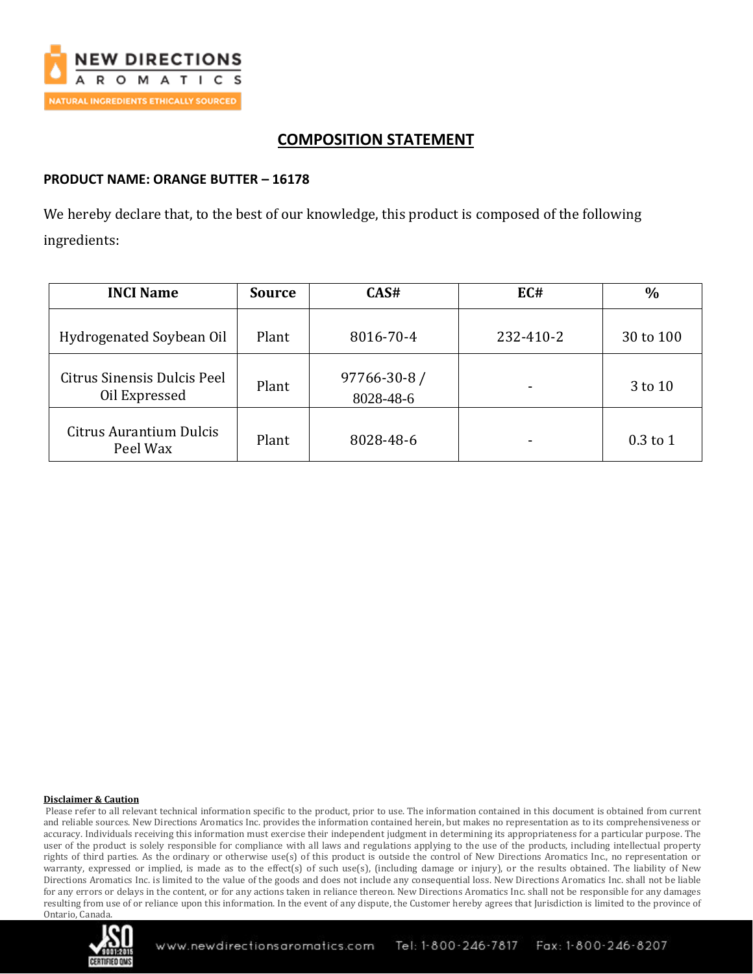

# **COMPOSITION STATEMENT**

## **PRODUCT NAME: ORANGE BUTTER – 16178**

We hereby declare that, to the best of our knowledge, this product is composed of the following ingredients:

| <b>INCI Name</b>                             | <b>Source</b> | CAS#                      | EC#       | $\frac{0}{0}$ |
|----------------------------------------------|---------------|---------------------------|-----------|---------------|
| Hydrogenated Soybean Oil                     | Plant         | 8016-70-4                 | 232-410-2 | 30 to 100     |
| Citrus Sinensis Dulcis Peel<br>Oil Expressed | Plant         | 97766-30-8 /<br>8028-48-6 |           | 3 to 10       |
| Citrus Aurantium Dulcis<br>Peel Wax          | Plant         | 8028-48-6                 |           | $0.3$ to 1    |

#### **Disclaimer & Caution**

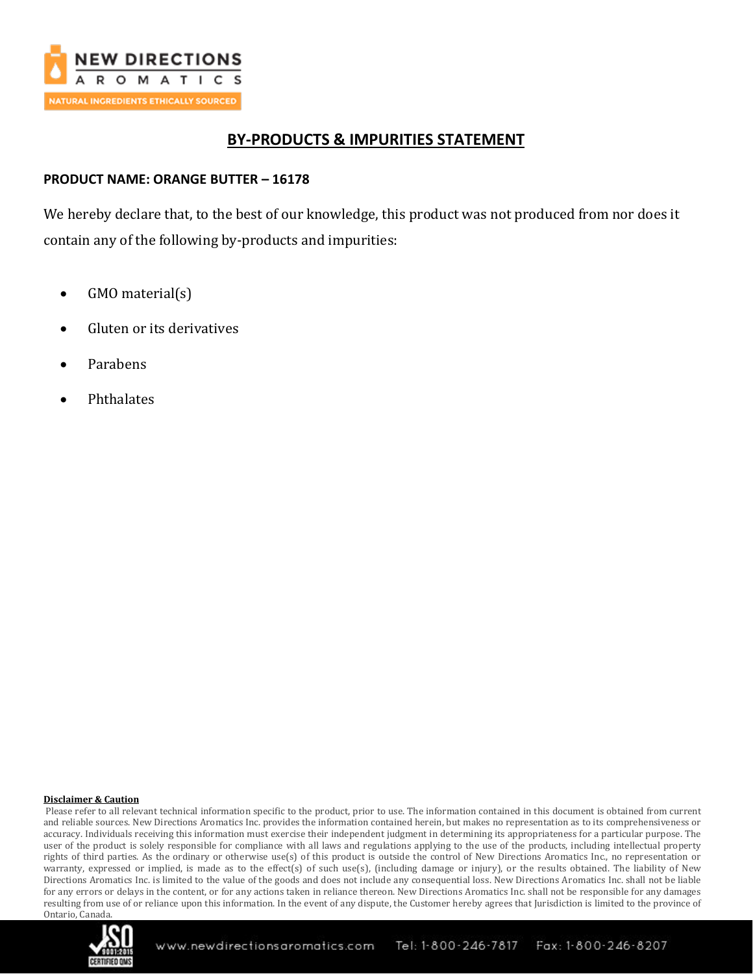

## **BY-PRODUCTS & IMPURITIES STATEMENT**

## **PRODUCT NAME: ORANGE BUTTER – 16178**

We hereby declare that, to the best of our knowledge, this product was not produced from nor does it contain any of the following by-products and impurities:

- GMO material(s)
- Gluten or its derivatives
- Parabens
- Phthalates

#### **Disclaimer & Caution**

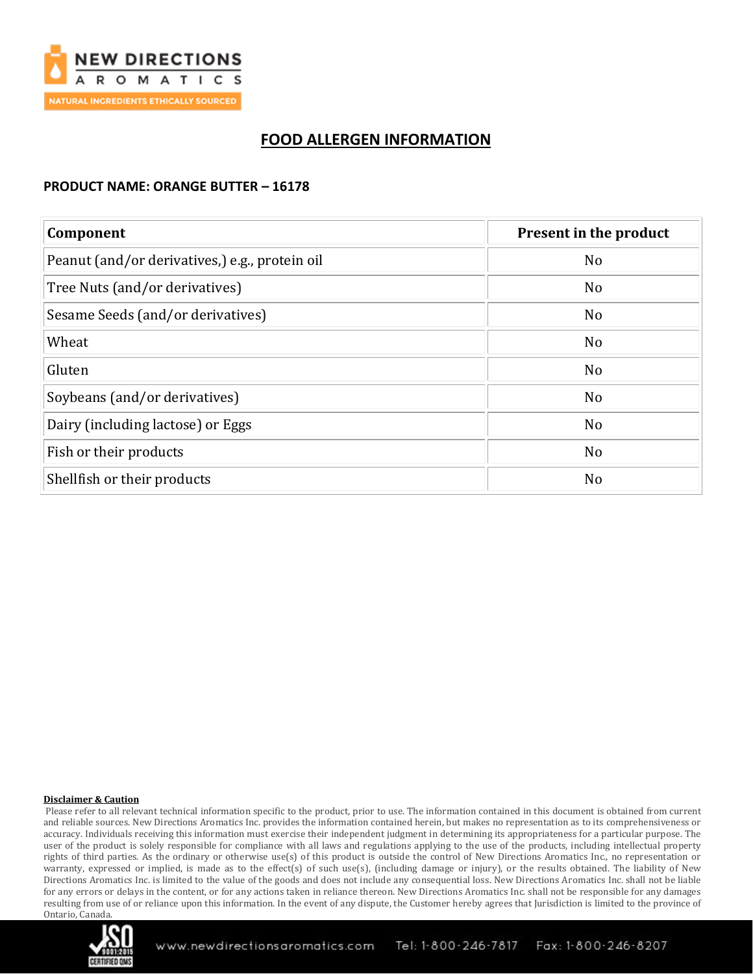

# **FOOD ALLERGEN INFORMATION**

### **PRODUCT NAME: ORANGE BUTTER – 16178**

| Component                                      | Present in the product |  |
|------------------------------------------------|------------------------|--|
| Peanut (and/or derivatives,) e.g., protein oil | N <sub>o</sub>         |  |
| Tree Nuts (and/or derivatives)                 | N <sub>o</sub>         |  |
| Sesame Seeds (and/or derivatives)              | N <sub>o</sub>         |  |
| Wheat                                          | N <sub>o</sub>         |  |
| Gluten                                         | No                     |  |
| Soybeans (and/or derivatives)                  | N <sub>o</sub>         |  |
| Dairy (including lactose) or Eggs              | N <sub>o</sub>         |  |
| Fish or their products                         | N <sub>o</sub>         |  |
| Shellfish or their products                    | N <sub>o</sub>         |  |

#### **Disclaimer & Caution**

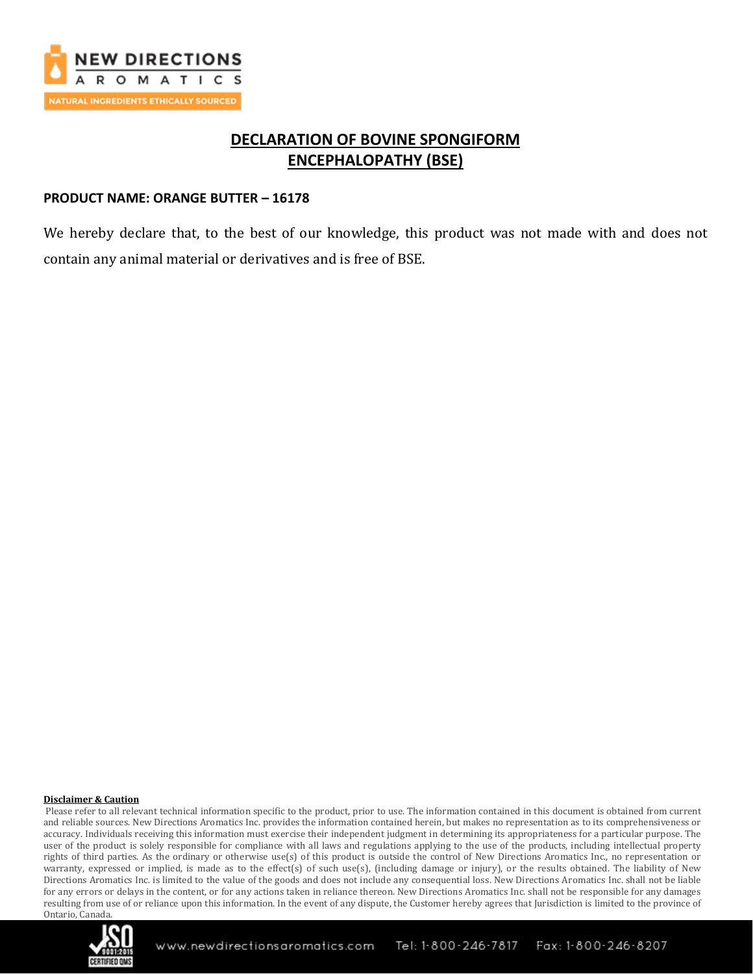

# **DECLARATION OF BOVINE SPONGIFORM ENCEPHALOPATHY (BSE)**

### **PRODUCT NAME: ORANGE BUTTER – 16178**

We hereby declare that, to the best of our knowledge, this product was not made with and does not contain any animal material or derivatives and is free of BSE.

#### **Disclaimer & Caution**

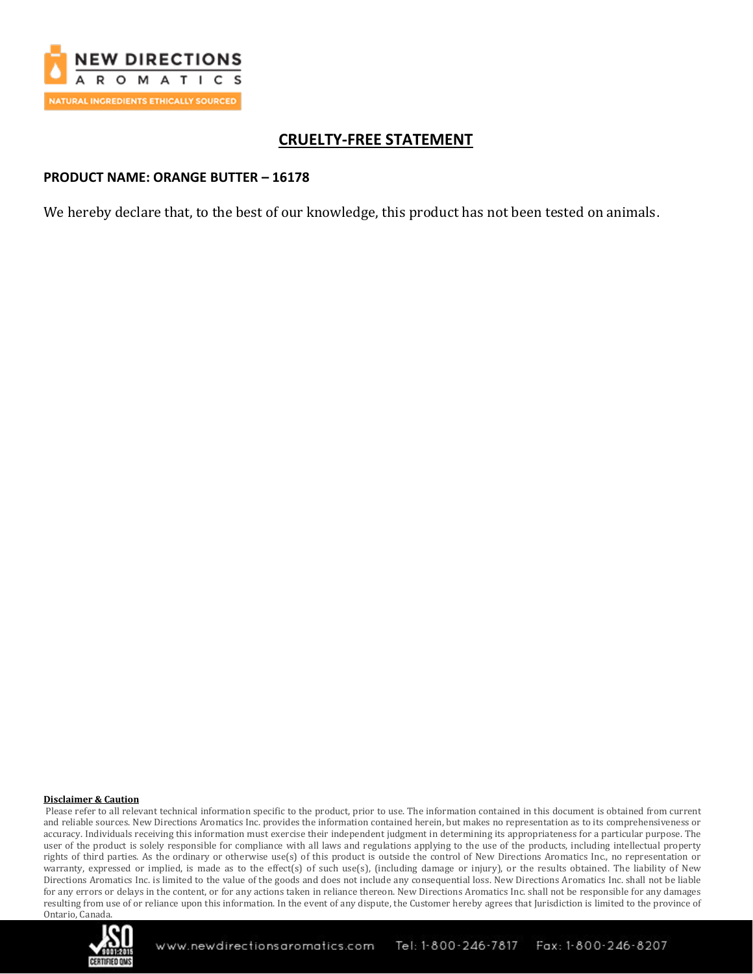

# **CRUELTY-FREE STATEMENT**

### **PRODUCT NAME: ORANGE BUTTER – 16178**

We hereby declare that, to the best of our knowledge, this product has not been tested on animals.

#### **Disclaimer & Caution**

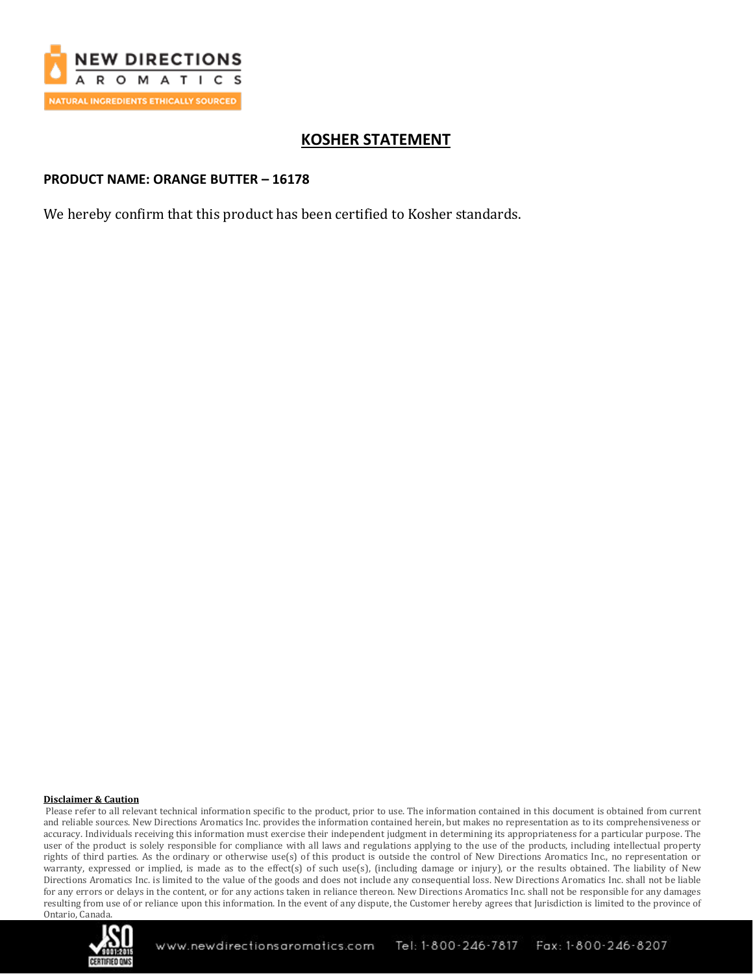

# **KOSHER STATEMENT**

### **PRODUCT NAME: ORANGE BUTTER – 16178**

We hereby confirm that this product has been certified to Kosher standards.

#### **Disclaimer & Caution**

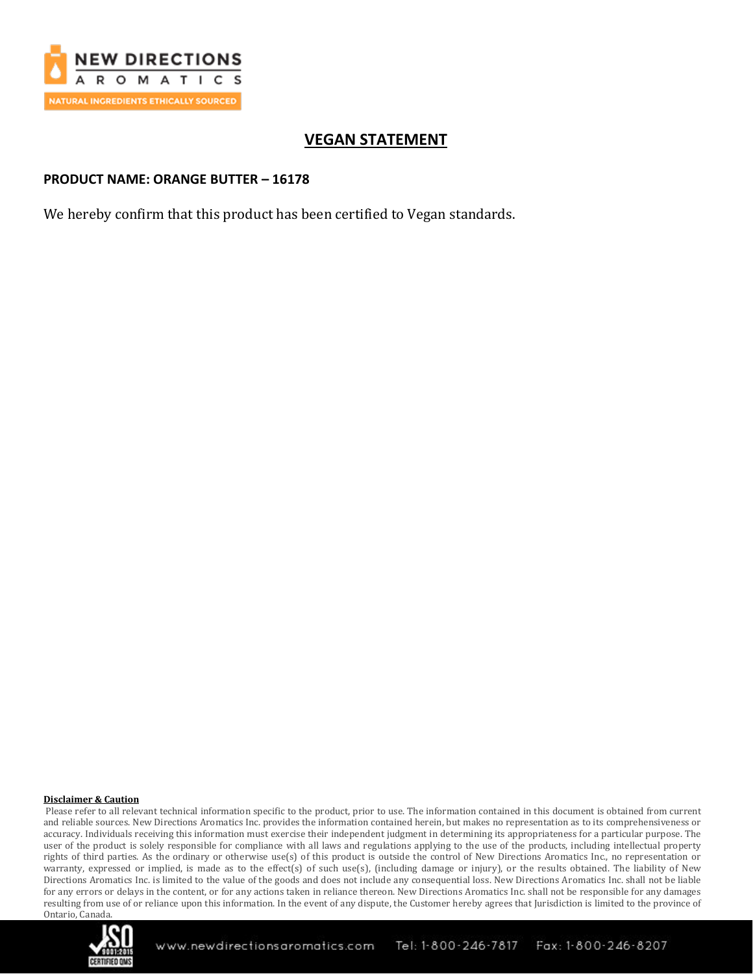

# **VEGAN STATEMENT**

## **PRODUCT NAME: ORANGE BUTTER – 16178**

We hereby confirm that this product has been certified to Vegan standards.

#### **Disclaimer & Caution**

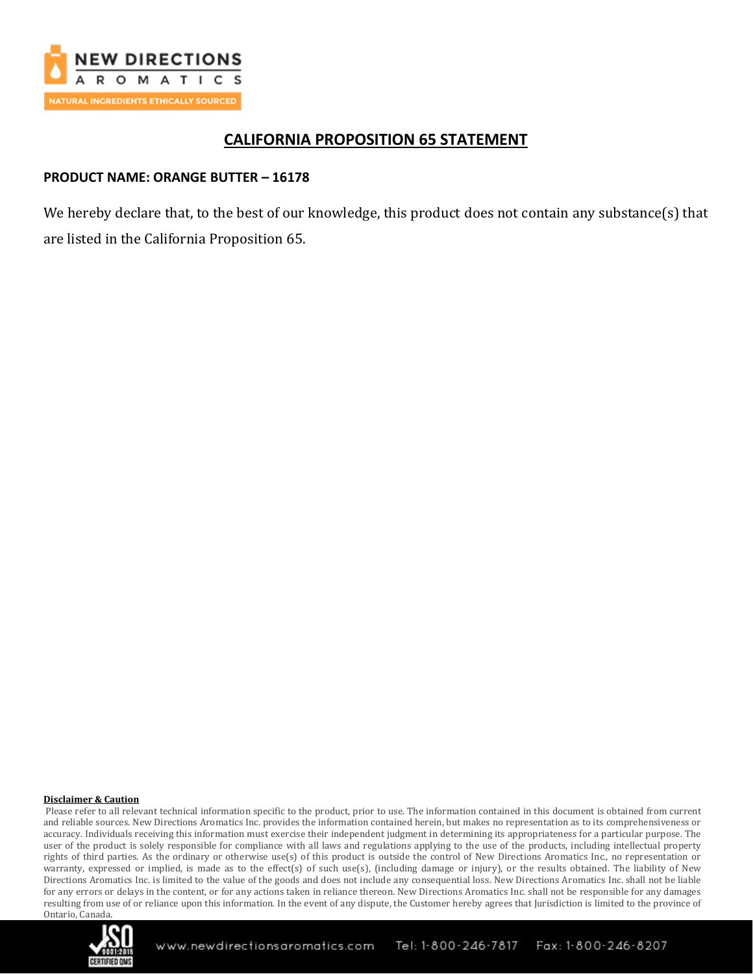

## **CALIFORNIA PROPOSITION 65 STATEMENT**

## **PRODUCT NAME: ORANGE BUTTER – 16178**

We hereby declare that, to the best of our knowledge, this product does not contain any substance(s) that are listed in the California Proposition 65.

#### **Disclaimer & Caution**